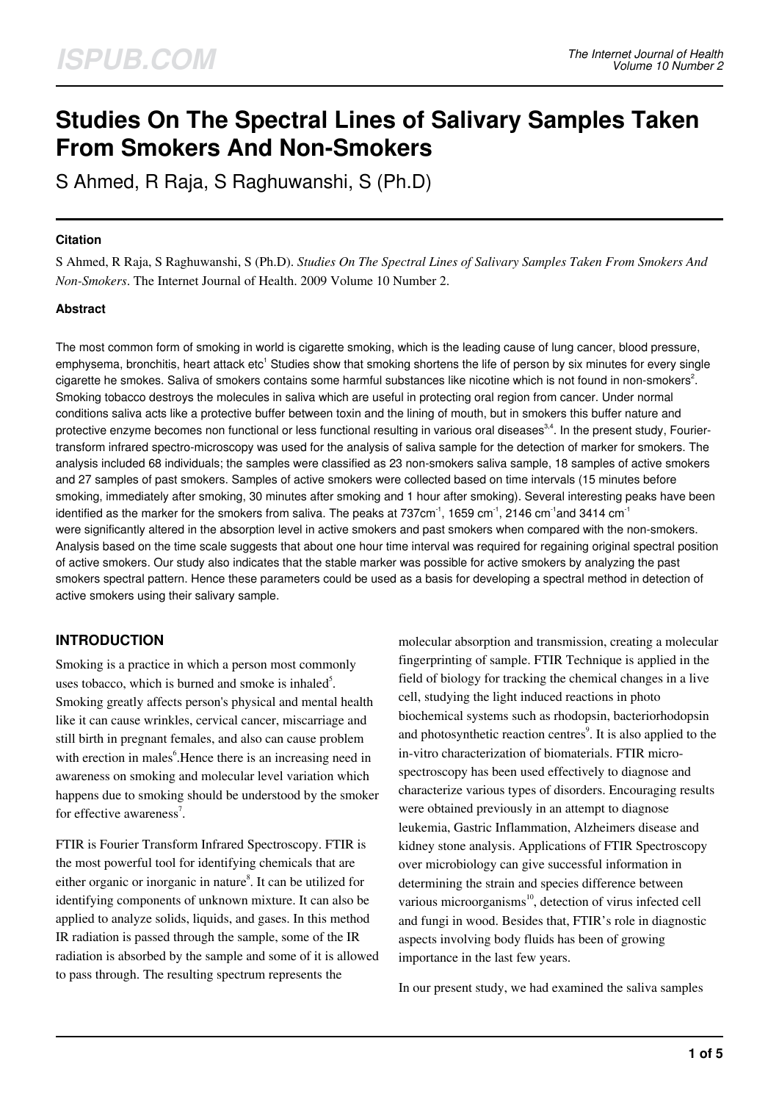# **Studies On The Spectral Lines of Salivary Samples Taken From Smokers And Non-Smokers**

S Ahmed, R Raja, S Raghuwanshi, S (Ph.D)

#### **Citation**

S Ahmed, R Raja, S Raghuwanshi, S (Ph.D). *Studies On The Spectral Lines of Salivary Samples Taken From Smokers And Non-Smokers*. The Internet Journal of Health. 2009 Volume 10 Number 2.

## **Abstract**

The most common form of smoking in world is cigarette smoking, which is the leading cause of lung cancer, blood pressure, emphysema, bronchitis, heart attack etc<sup>1</sup> Studies show that smoking shortens the life of person by six minutes for every single cigarette he smokes. Saliva of smokers contains some harmful substances like nicotine which is not found in non-smokers<sup>2</sup>. Smoking tobacco destroys the molecules in saliva which are useful in protecting oral region from cancer. Under normal conditions saliva acts like a protective buffer between toxin and the lining of mouth, but in smokers this buffer nature and protective enzyme becomes non functional or less functional resulting in various oral diseases<sup>3,4</sup>. In the present study, Fouriertransform infrared spectro-microscopy was used for the analysis of saliva sample for the detection of marker for smokers. The analysis included 68 individuals; the samples were classified as 23 non-smokers saliva sample, 18 samples of active smokers and 27 samples of past smokers. Samples of active smokers were collected based on time intervals (15 minutes before smoking, immediately after smoking, 30 minutes after smoking and 1 hour after smoking). Several interesting peaks have been identified as the marker for the smokers from saliva. The peaks at 737 $cm^{-1}$ , 1659  $cm^{-1}$ , 2146  $cm^{-1}$ and 3414  $cm^{-1}$ were significantly altered in the absorption level in active smokers and past smokers when compared with the non-smokers. Analysis based on the time scale suggests that about one hour time interval was required for regaining original spectral position of active smokers. Our study also indicates that the stable marker was possible for active smokers by analyzing the past smokers spectral pattern. Hence these parameters could be used as a basis for developing a spectral method in detection of active smokers using their salivary sample.

#### **INTRODUCTION**

Smoking is a practice in which a person most commonly uses tobacco, which is burned and smoke is inhaled<sup>5</sup>. Smoking greatly affects person's physical and mental health like it can cause wrinkles, cervical cancer, miscarriage and still birth in pregnant females, and also can cause problem with erection in males<sup>6</sup>. Hence there is an increasing need in awareness on smoking and molecular level variation which happens due to smoking should be understood by the smoker for effective awareness<sup>7</sup>.

FTIR is Fourier Transform Infrared Spectroscopy. FTIR is the most powerful tool for identifying chemicals that are either organic or inorganic in nature<sup>8</sup>. It can be utilized for identifying components of unknown mixture. It can also be applied to analyze solids, liquids, and gases. In this method IR radiation is passed through the sample, some of the IR radiation is absorbed by the sample and some of it is allowed to pass through. The resulting spectrum represents the

molecular absorption and transmission, creating a molecular fingerprinting of sample. FTIR Technique is applied in the field of biology for tracking the chemical changes in a live cell, studying the light induced reactions in photo biochemical systems such as rhodopsin, bacteriorhodopsin and photosynthetic reaction centres<sup>9</sup>. It is also applied to the in-vitro characterization of biomaterials. FTIR microspectroscopy has been used effectively to diagnose and characterize various types of disorders. Encouraging results were obtained previously in an attempt to diagnose leukemia, Gastric Inflammation, Alzheimers disease and kidney stone analysis. Applications of FTIR Spectroscopy over microbiology can give successful information in determining the strain and species difference between various microorganisms<sup>10</sup>, detection of virus infected cell and fungi in wood. Besides that, FTIR's role in diagnostic aspects involving body fluids has been of growing importance in the last few years.

In our present study, we had examined the saliva samples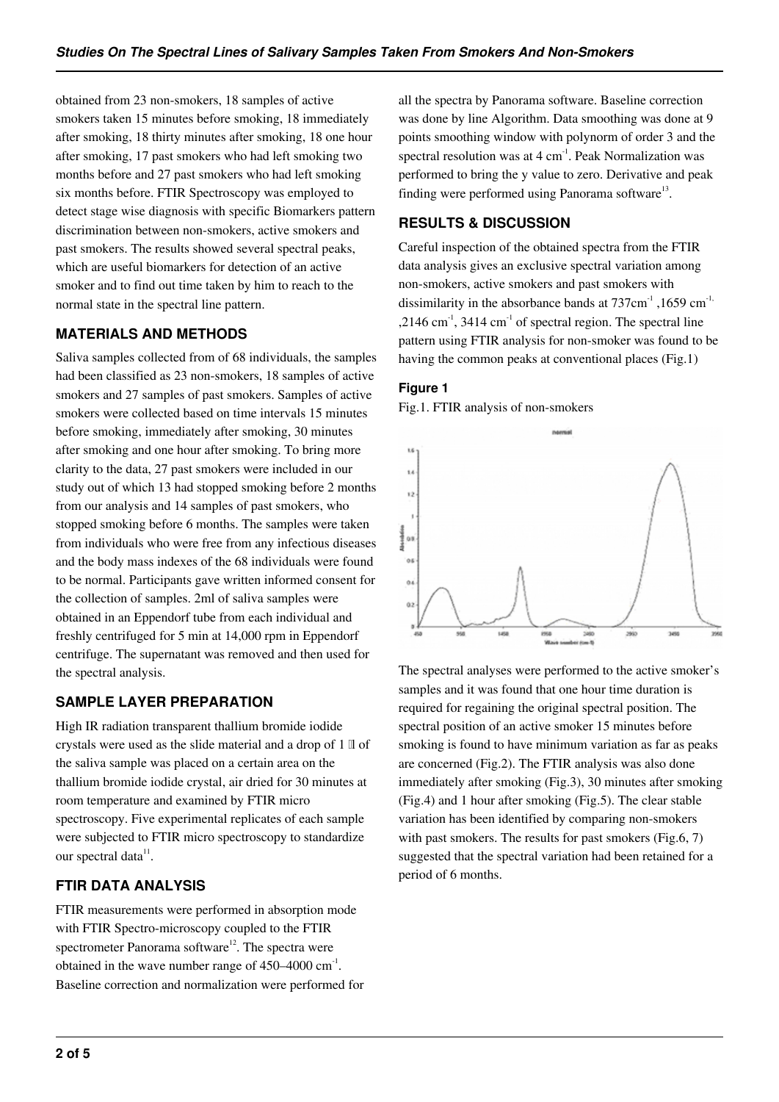obtained from 23 non-smokers, 18 samples of active smokers taken 15 minutes before smoking, 18 immediately after smoking, 18 thirty minutes after smoking, 18 one hour after smoking, 17 past smokers who had left smoking two months before and 27 past smokers who had left smoking six months before. FTIR Spectroscopy was employed to detect stage wise diagnosis with specific Biomarkers pattern discrimination between non-smokers, active smokers and past smokers. The results showed several spectral peaks, which are useful biomarkers for detection of an active smoker and to find out time taken by him to reach to the normal state in the spectral line pattern.

## **MATERIALS AND METHODS**

Saliva samples collected from of 68 individuals, the samples had been classified as 23 non-smokers, 18 samples of active smokers and 27 samples of past smokers. Samples of active smokers were collected based on time intervals 15 minutes before smoking, immediately after smoking, 30 minutes after smoking and one hour after smoking. To bring more clarity to the data, 27 past smokers were included in our study out of which 13 had stopped smoking before 2 months from our analysis and 14 samples of past smokers, who stopped smoking before 6 months. The samples were taken from individuals who were free from any infectious diseases and the body mass indexes of the 68 individuals were found to be normal. Participants gave written informed consent for the collection of samples. 2ml of saliva samples were obtained in an Eppendorf tube from each individual and freshly centrifuged for 5 min at 14,000 rpm in Eppendorf centrifuge. The supernatant was removed and then used for the spectral analysis.

# **SAMPLE LAYER PREPARATION**

High IR radiation transparent thallium bromide iodide crystals were used as the slide material and a drop of 1 ll of the saliva sample was placed on a certain area on the thallium bromide iodide crystal, air dried for 30 minutes at room temperature and examined by FTIR micro spectroscopy. Five experimental replicates of each sample were subjected to FTIR micro spectroscopy to standardize our spectral data<sup>11</sup>.

# **FTIR DATA ANALYSIS**

FTIR measurements were performed in absorption mode with FTIR Spectro-microscopy coupled to the FTIR spectrometer Panorama software<sup>12</sup>. The spectra were obtained in the wave number range of  $450-4000$  cm<sup>-1</sup>. Baseline correction and normalization were performed for all the spectra by Panorama software. Baseline correction was done by line Algorithm. Data smoothing was done at 9 points smoothing window with polynorm of order 3 and the spectral resolution was at 4 cm-1. Peak Normalization was performed to bring the y value to zero. Derivative and peak finding were performed using Panorama software $^{13}$ .

## **RESULTS & DISCUSSION**

Careful inspection of the obtained spectra from the FTIR data analysis gives an exclusive spectral variation among non-smokers, active smokers and past smokers with dissimilarity in the absorbance bands at  $737 \text{cm}^{-1}$ ,  $1659 \text{cm}^{-1}$ , ,2146 cm<sup>-1</sup>, 3414 cm<sup>-1</sup> of spectral region. The spectral line pattern using FTIR analysis for non-smoker was found to be having the common peaks at conventional places (Fig.1)

## **Figure 1**

Fig.1. FTIR analysis of non-smokers



The spectral analyses were performed to the active smoker's samples and it was found that one hour time duration is required for regaining the original spectral position. The spectral position of an active smoker 15 minutes before smoking is found to have minimum variation as far as peaks are concerned (Fig.2). The FTIR analysis was also done immediately after smoking (Fig.3), 30 minutes after smoking (Fig.4) and 1 hour after smoking (Fig.5). The clear stable variation has been identified by comparing non-smokers with past smokers. The results for past smokers (Fig.6, 7) suggested that the spectral variation had been retained for a period of 6 months.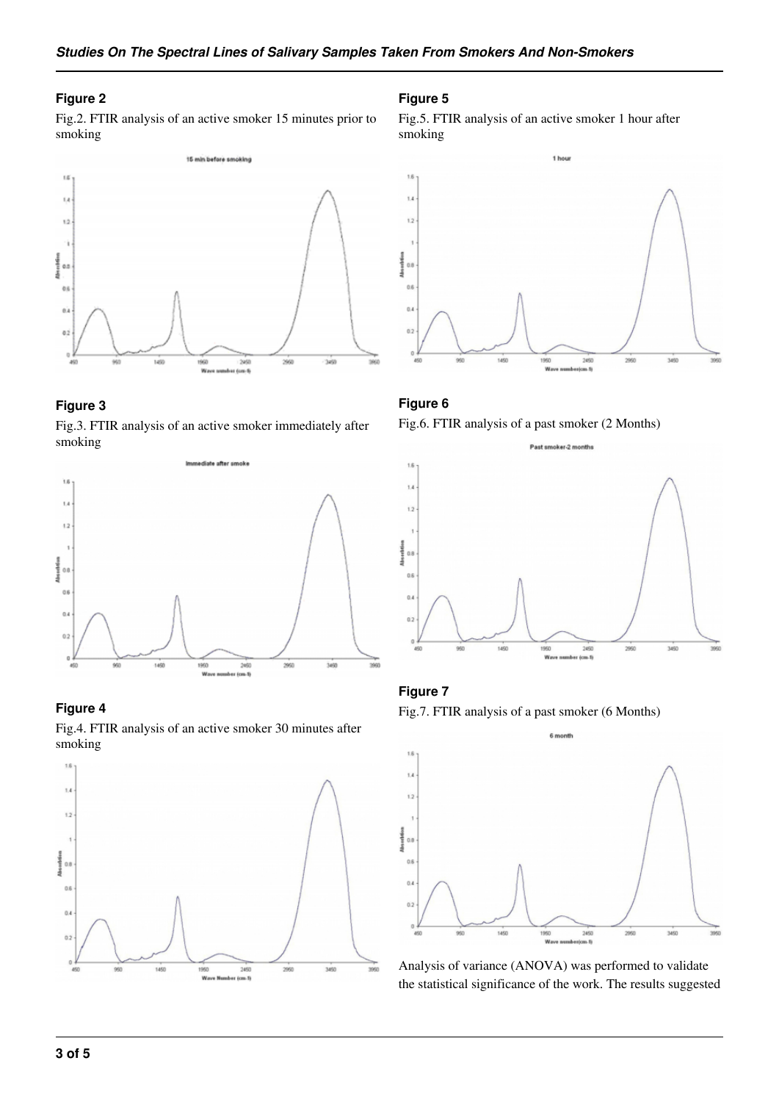#### **Figure 2**

Fig.2. FTIR analysis of an active smoker 15 minutes prior to smoking



#### **Figure 3**

Fig.3. FTIR analysis of an active smoker immediately after smoking



#### **Figure 4**

Fig.4. FTIR analysis of an active smoker 30 minutes after smoking



#### **Figure 5**

Fig.5. FTIR analysis of an active smoker 1 hour after smoking



#### **Figure 6**

Fig.6. FTIR analysis of a past smoker (2 Months)



#### **Figure 7**

Fig.7. FTIR analysis of a past smoker (6 Months)



Analysis of variance (ANOVA) was performed to validate the statistical significance of the work. The results suggested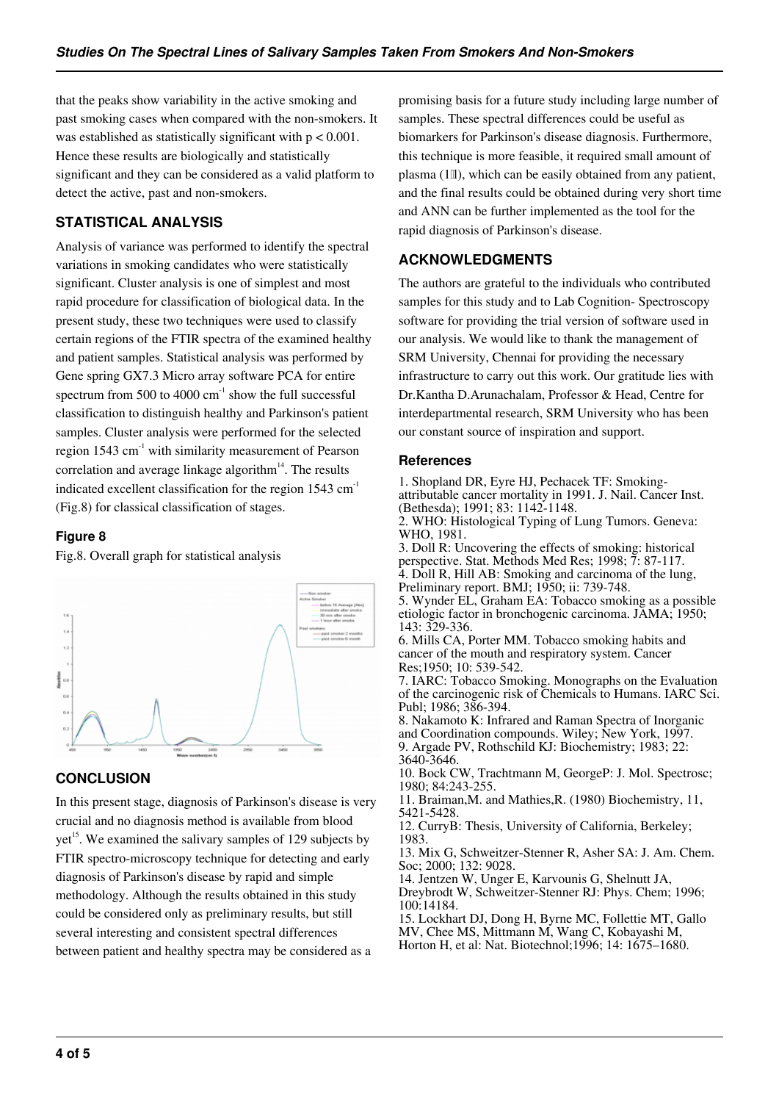that the peaks show variability in the active smoking and past smoking cases when compared with the non-smokers. It was established as statistically significant with p < 0.001. Hence these results are biologically and statistically significant and they can be considered as a valid platform to detect the active, past and non-smokers.

# **STATISTICAL ANALYSIS**

Analysis of variance was performed to identify the spectral variations in smoking candidates who were statistically significant. Cluster analysis is one of simplest and most rapid procedure for classification of biological data. In the present study, these two techniques were used to classify certain regions of the FTIR spectra of the examined healthy and patient samples. Statistical analysis was performed by Gene spring GX7.3 Micro array software PCA for entire spectrum from 500 to 4000  $\text{cm}^{-1}$  show the full successful classification to distinguish healthy and Parkinson's patient samples. Cluster analysis were performed for the selected region 1543 cm<sup>-1</sup> with similarity measurement of Pearson correlation and average linkage algorithm $14$ . The results indicated excellent classification for the region  $1543 \text{ cm}^{-1}$ (Fig.8) for classical classification of stages.

## **Figure 8**

Fig.8. Overall graph for statistical analysis



## **CONCLUSION**

In this present stage, diagnosis of Parkinson's disease is very crucial and no diagnosis method is available from blood  $yet<sup>15</sup>$ . We examined the salivary samples of 129 subjects by FTIR spectro-microscopy technique for detecting and early diagnosis of Parkinson's disease by rapid and simple methodology. Although the results obtained in this study could be considered only as preliminary results, but still several interesting and consistent spectral differences between patient and healthy spectra may be considered as a

promising basis for a future study including large number of samples. These spectral differences could be useful as biomarkers for Parkinson's disease diagnosis. Furthermore, this technique is more feasible, it required small amount of plasma (1ll), which can be easily obtained from any patient, and the final results could be obtained during very short time and ANN can be further implemented as the tool for the rapid diagnosis of Parkinson's disease.

## **ACKNOWLEDGMENTS**

The authors are grateful to the individuals who contributed samples for this study and to Lab Cognition- Spectroscopy software for providing the trial version of software used in our analysis. We would like to thank the management of SRM University, Chennai for providing the necessary infrastructure to carry out this work. Our gratitude lies with Dr.Kantha D.Arunachalam, Professor & Head, Centre for interdepartmental research, SRM University who has been our constant source of inspiration and support.

#### **References**

1. Shopland DR, Eyre HJ, Pechacek TF: Smokingattributable cancer mortality in 1991. J. Nail. Cancer Inst. (Bethesda); 1991; 83: 1142-1148. 2. WHO: Histological Typing of Lung Tumors. Geneva: WHO, 1981. 3. Doll R: Uncovering the effects of smoking: historical perspective. Stat. Methods Med Res; 1998; 7: 87-117. 4. Doll R, Hill AB: Smoking and carcinoma of the lung, Preliminary report. BMJ; 1950; ii: 739-748. 5. Wynder EL, Graham EA: Tobacco smoking as a possible etiologic factor in bronchogenic carcinoma. JAMA; 1950; 143: 329-336. 6. Mills CA, Porter MM. Tobacco smoking habits and cancer of the mouth and respiratory system. Cancer Res;1950; 10: 539-542. 7. IARC: Tobacco Smoking. Monographs on the Evaluation of the carcinogenic risk of Chemicals to Humans. IARC Sci. Publ; 1986; 386-394. 8. Nakamoto K: Infrared and Raman Spectra of Inorganic and Coordination compounds. Wiley; New York, 1997. 9. Argade PV, Rothschild KJ: Biochemistry; 1983; 22: 3640-3646. 10. Bock CW, Trachtmann M, GeorgeP: J. Mol. Spectrosc; 1980; 84:243-255.

11. Braiman,M. and Mathies,R. (1980) Biochemistry, 11, 5421-5428.

12. CurryB: Thesis, University of California, Berkeley; 1983.

13. Mix G, Schweitzer-Stenner R, Asher SA: J. Am. Chem. Soc; 2000; 132: 9028.

14. Jentzen W, Unger E, Karvounis G, Shelnutt JA, Dreybrodt W, Schweitzer-Stenner RJ: Phys. Chem; 1996; 100:14184.

15. Lockhart DJ, Dong H, Byrne MC, Follettie MT, Gallo MV, Chee MS, Mittmann M, Wang C, Kobayashi M, Horton H, et al: Nat. Biotechnol;1996; 14: 1675–1680.